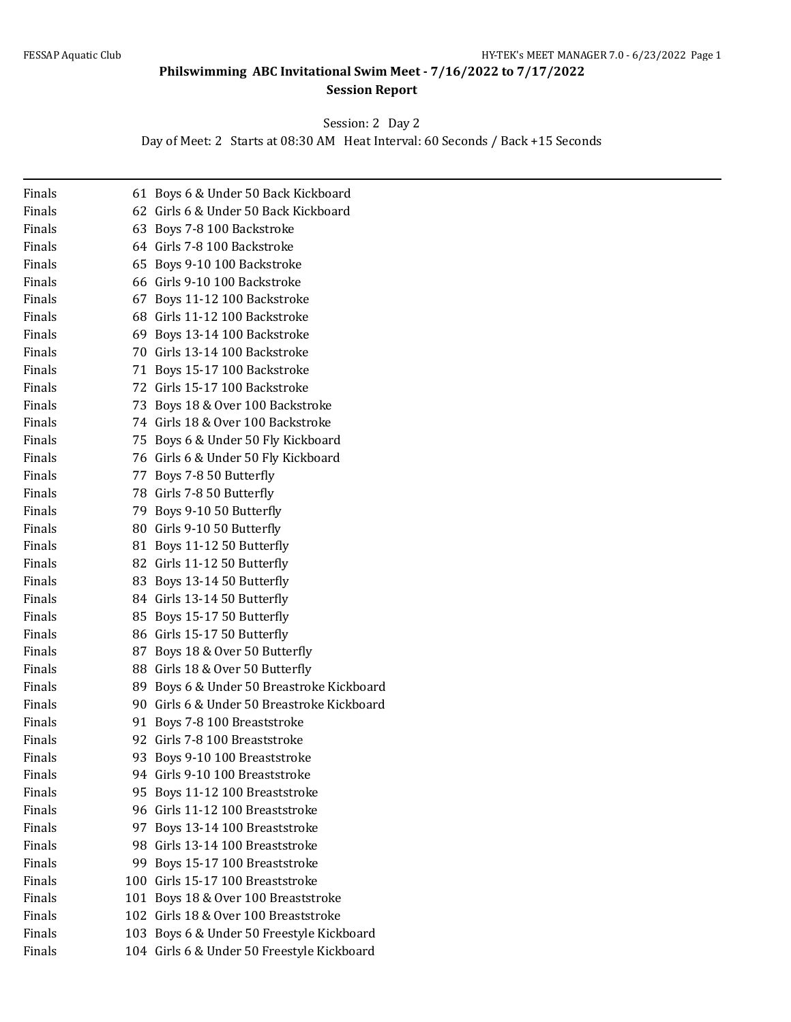## **Philswimming ABC Invitational Swim Meet - 7/16/2022 to 7/17/2022 Session Report**

Session: 2 Day 2

Day of Meet: 2 Starts at 08:30 AM Heat Interval: 60 Seconds / Back +15 Seconds

| Finals | 61 Boys 6 & Under 50 Back Kickboard        |
|--------|--------------------------------------------|
| Finals | 62 Girls 6 & Under 50 Back Kickboard       |
| Finals | 63 Boys 7-8 100 Backstroke                 |
| Finals | 64 Girls 7-8 100 Backstroke                |
| Finals | 65 Boys 9-10 100 Backstroke                |
| Finals | 66 Girls 9-10 100 Backstroke               |
| Finals | 67 Boys 11-12 100 Backstroke               |
| Finals | 68 Girls 11-12 100 Backstroke              |
| Finals | 69 Boys 13-14 100 Backstroke               |
| Finals | 70 Girls 13-14 100 Backstroke              |
| Finals | 71 Boys 15-17 100 Backstroke               |
| Finals | 72 Girls 15-17 100 Backstroke              |
| Finals | 73 Boys 18 & Over 100 Backstroke           |
| Finals | 74 Girls 18 & Over 100 Backstroke          |
| Finals | 75 Boys 6 & Under 50 Fly Kickboard         |
| Finals | 76 Girls 6 & Under 50 Fly Kickboard        |
| Finals | 77 Boys 7-8 50 Butterfly                   |
| Finals | 78 Girls 7-8 50 Butterfly                  |
| Finals | 79 Boys 9-10 50 Butterfly                  |
| Finals | 80 Girls 9-10 50 Butterfly                 |
| Finals | 81 Boys 11-12 50 Butterfly                 |
| Finals | 82 Girls 11-12 50 Butterfly                |
| Finals | 83 Boys 13-14 50 Butterfly                 |
| Finals | 84 Girls 13-14 50 Butterfly                |
| Finals | 85 Boys 15-17 50 Butterfly                 |
| Finals | 86 Girls 15-17 50 Butterfly                |
| Finals | 87 Boys 18 & Over 50 Butterfly             |
| Finals | 88 Girls 18 & Over 50 Butterfly            |
| Finals | 89 Boys 6 & Under 50 Breastroke Kickboard  |
| Finals | 90 Girls 6 & Under 50 Breastroke Kickboard |
| Finals | 91 Boys 7-8 100 Breaststroke               |
| Finals | 92 Girls 7-8 100 Breaststroke              |
| Finals | 93 Boys 9-10 100 Breaststroke              |
| Finals | 94 Girls 9-10 100 Breaststroke             |
| Finals | 95 Boys 11-12 100 Breaststroke             |
| Finals | 96 Girls 11-12 100 Breaststroke            |
| Finals | 97 Boys 13-14 100 Breaststroke             |
| Finals | 98 Girls 13-14 100 Breaststroke            |
| Finals | 99 Boys 15-17 100 Breaststroke             |
| Finals | 100 Girls 15-17 100 Breaststroke           |
| Finals | 101 Boys 18 & Over 100 Breaststroke        |
| Finals | 102 Girls 18 & Over 100 Breaststroke       |
| Finals | 103 Boys 6 & Under 50 Freestyle Kickboard  |
| Finals | 104 Girls 6 & Under 50 Freestyle Kickboard |